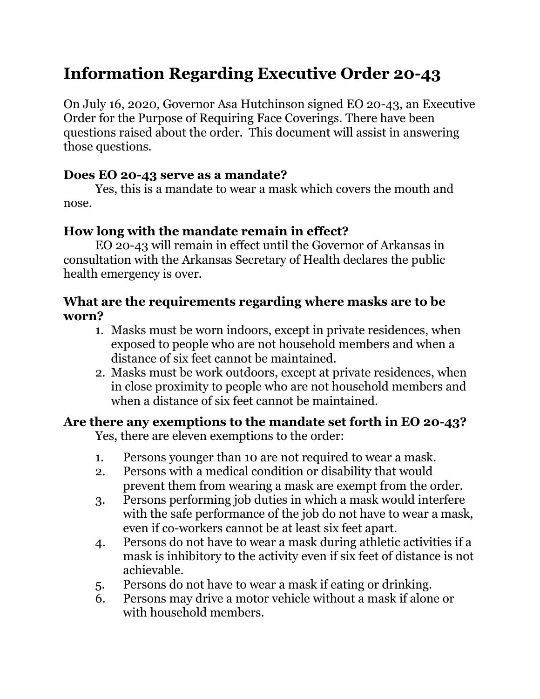# **Information Regarding Executive Order 20-43**

On July 16, 2020, Governor Asa Hutchinson signed EO 20-43, an Executive Order for the Purpose of Requiring Face Coverings. There have been questions raised about the order. This document will assist in answering those questions.

#### **Does EO 20-43 serve as a mandate?**

Yes, this is a mandate to wear a mask which covers the mouth and nose.

### **How long with the mandate remain in effect?**

EO 20-43 will remain in effect until the Governor of Arkansas in consultation with the Arkansas Secretary of Health declares the public health emergency is over.

#### **What are the requirements regarding where masks are to be worn?**

- 1. Masks must be worn indoors, except in private residences, when exposed to people who are not household members and when a distance of six feet cannot be maintained.
- 2. Masks must be work outdoors, except at private residences, when in close proximity to people who are not household members and when a distance of six feet cannot be maintained.

#### **Are there any exemptions to the mandate set forth in EO 20-43?**

Yes, there are eleven exemptions to the order:

- 1. Persons younger than 10 are not required to wear a mask.
- 2. Persons with a medical condition or disability that would prevent them from wearing a mask are exempt from the order.
- 3. Persons performing job duties in which a mask would interfere with the safe performance of the job do not have to wear a mask, even if co-workers cannot be at least six feet apart.
- 4. Persons do not have to wear a mask during athletic activities if a mask is inhibitory to the activity even if six feet of distance is not achievable.
- 5. Persons do not have to wear a mask if eating or drinking.
- 6. Persons may drive a motor vehicle without a mask if alone or with household members.